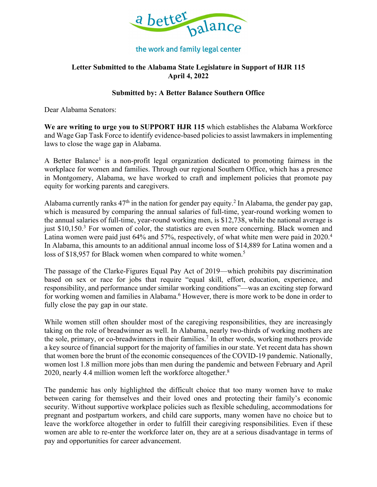

## the work and family legal center

## **Letter Submitted to the Alabama State Legislature in Support of HJR 115 April 4, 2022**

## **Submitted by: A Better Balance Southern Office**

Dear Alabama Senators:

**We are writing to urge you to SUPPORT HJR 115** which establishes the Alabama Workforce and Wage Gap Task Force to identify evidence-based policies to assist lawmakers in implementing laws to close the wage gap in Alabama.

A Better Balance<sup>1</sup> is a non-profit legal organization dedicated to promoting fairness in the workplace for women and families. Through our regional Southern Office, which has a presence in Montgomery, Alabama, we have worked to craft and implement policies that promote pay equity for working parents and caregivers.

Alabama currently ranks  $47<sup>th</sup>$  in the nation for gender pay equity.<sup>2</sup> In Alabama, the gender pay gap, which is measured by comparing the annual salaries of full-time, year-round working women to the annual salaries of full-time, year-round working men, is \$12,738, while the national average is just \$10,150.<sup>3</sup> For women of color, the statistics are even more concerning. Black women and Latina women were paid just 64% and 57%, respectively, of what white men were paid in 2020.<sup>4</sup> In Alabama, this amounts to an additional annual income loss of \$14,889 for Latina women and a loss of \$18,957 for Black women when compared to white women.<sup>5</sup>

The passage of the Clarke-Figures Equal Pay Act of 2019—which prohibits pay discrimination based on sex or race for jobs that require "equal skill, effort, education, experience, and responsibility, and performance under similar working conditions"—was an exciting step forward for working women and families in Alabama.<sup>6</sup> However, there is more work to be done in order to fully close the pay gap in our state.

While women still often shoulder most of the caregiving responsibilities, they are increasingly taking on the role of breadwinner as well. In Alabama, nearly two-thirds of working mothers are the sole, primary, or co-breadwinners in their families. <sup>7</sup> In other words, working mothers provide a key source of financial support for the majority of families in our state. Yet recent data has shown that women bore the brunt of the economic consequences of the COVID-19 pandemic. Nationally, women lost 1.8 million more jobs than men during the pandemic and between February and April 2020, nearly 4.4 million women left the workforce altogether.<sup>8</sup>

The pandemic has only highlighted the difficult choice that too many women have to make between caring for themselves and their loved ones and protecting their family's economic security. Without supportive workplace policies such as flexible scheduling, accommodations for pregnant and postpartum workers, and child care supports, many women have no choice but to leave the workforce altogether in order to fulfill their caregiving responsibilities. Even if these women are able to re-enter the workforce later on, they are at a serious disadvantage in terms of pay and opportunities for career advancement.